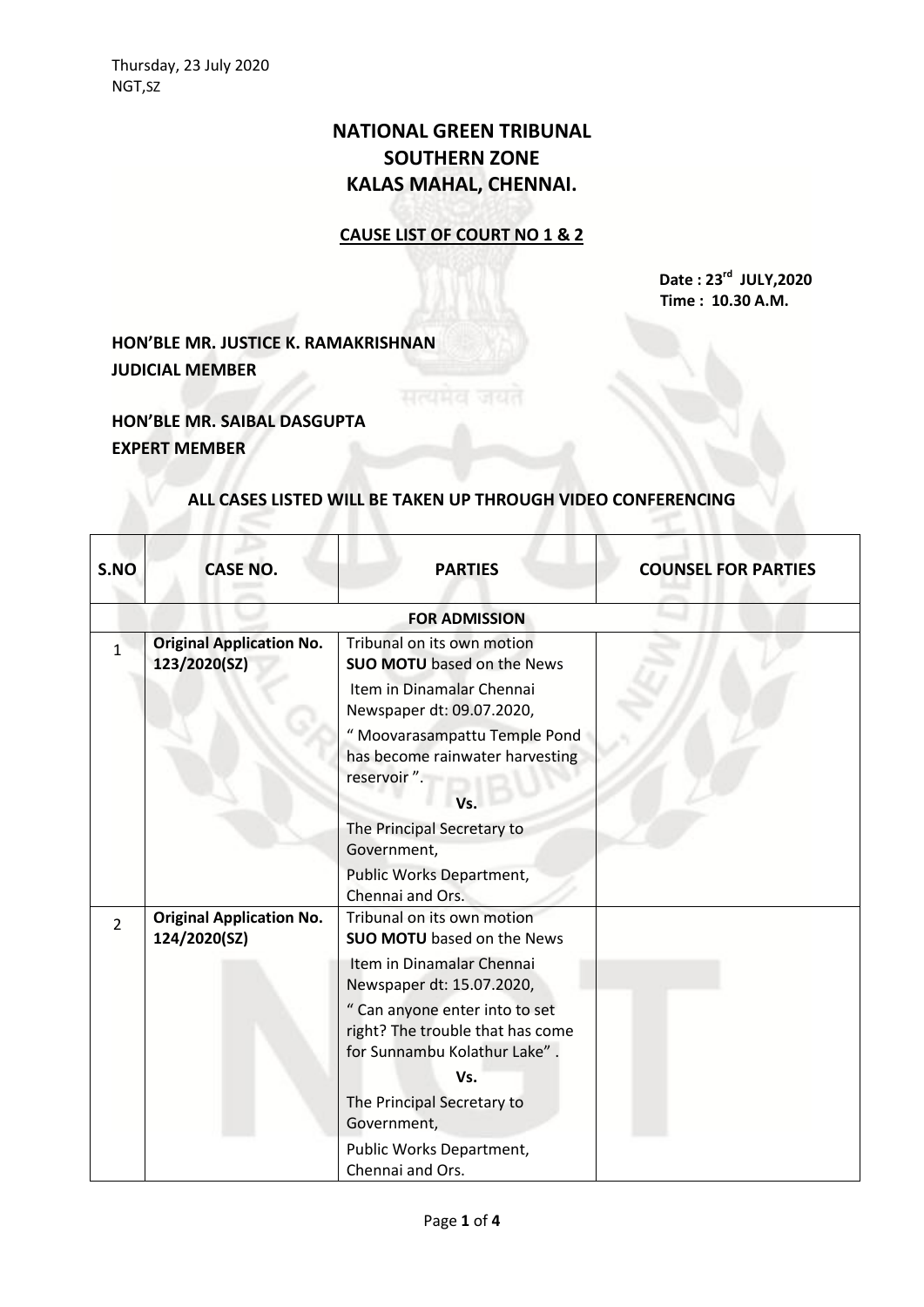## **NATIONAL GREEN TRIBUNAL SOUTHERN ZONE KALAS MAHAL, CHENNAI.**

## **CAUSE LIST OF COURT NO 1 & 2**

**Date : 23 rd JULY,2020 Time : 10.30 A.M.**

**HON'BLE MR. JUSTICE K. RAMAKRISHNAN JUDICIAL MEMBER**

**HON'BLE MR. SAIBAL DASGUPTA EXPERT MEMBER**

## **ALL CASES LISTED WILL BE TAKEN UP THROUGH VIDEO CONFERENCING**

| S.NO           | <b>CASE NO.</b>                                 | <b>PARTIES</b>                                                                                     | <b>COUNSEL FOR PARTIES</b> |
|----------------|-------------------------------------------------|----------------------------------------------------------------------------------------------------|----------------------------|
|                |                                                 | <b>FOR ADMISSION</b>                                                                               |                            |
| $\mathbf{1}$   | <b>Original Application No.</b><br>123/2020(SZ) | Tribunal on its own motion<br><b>SUO MOTU</b> based on the News                                    |                            |
|                |                                                 | Item in Dinamalar Chennai<br>Newspaper dt: 09.07.2020,                                             |                            |
|                |                                                 | " Moovarasampattu Temple Pond<br>has become rainwater harvesting<br>reservoir".                    |                            |
|                |                                                 | Vs.                                                                                                |                            |
|                |                                                 | The Principal Secretary to<br>Government,                                                          |                            |
|                |                                                 | Public Works Department,<br>Chennai and Ors.                                                       |                            |
| $\overline{2}$ | <b>Original Application No.</b><br>124/2020(SZ) | Tribunal on its own motion<br><b>SUO MOTU</b> based on the News                                    |                            |
|                |                                                 | Item in Dinamalar Chennai<br>Newspaper dt: 15.07.2020,                                             |                            |
|                |                                                 | " Can anyone enter into to set<br>right? The trouble that has come<br>for Sunnambu Kolathur Lake". |                            |
|                |                                                 | Vs.                                                                                                |                            |
|                |                                                 | The Principal Secretary to<br>Government,                                                          |                            |
|                |                                                 | Public Works Department,<br>Chennai and Ors.                                                       |                            |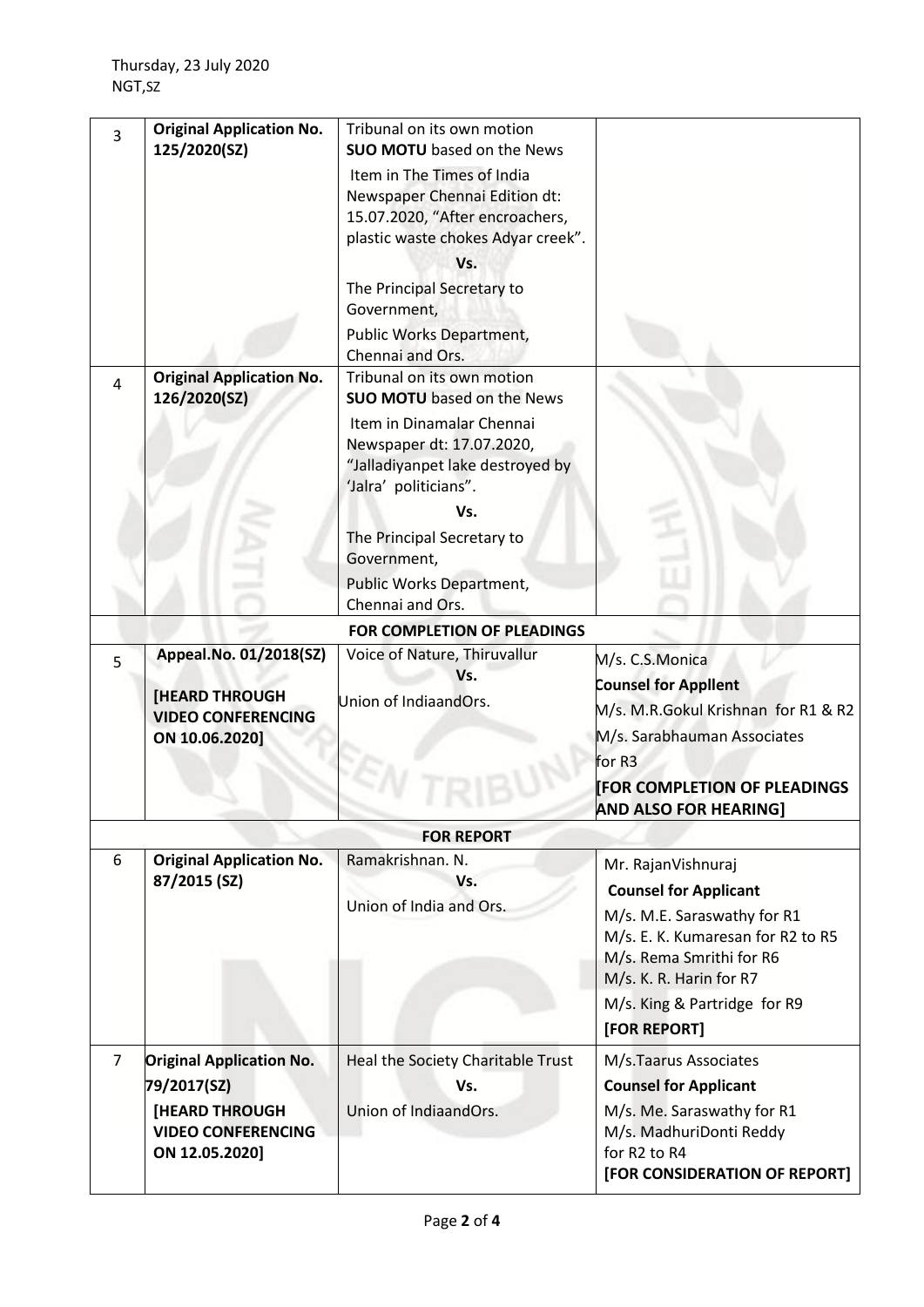| 3              | <b>Original Application No.</b><br>125/2020(SZ)                                                                        | Tribunal on its own motion<br><b>SUO MOTU</b> based on the News                                                                                                                          |                                                                                                                                                                                                                               |
|----------------|------------------------------------------------------------------------------------------------------------------------|------------------------------------------------------------------------------------------------------------------------------------------------------------------------------------------|-------------------------------------------------------------------------------------------------------------------------------------------------------------------------------------------------------------------------------|
|                |                                                                                                                        | Item in The Times of India<br>Newspaper Chennai Edition dt:<br>15.07.2020, "After encroachers,<br>plastic waste chokes Adyar creek".<br>Vs.<br>The Principal Secretary to<br>Government, |                                                                                                                                                                                                                               |
|                |                                                                                                                        | Public Works Department,<br>Chennai and Ors.                                                                                                                                             |                                                                                                                                                                                                                               |
| $\overline{4}$ | <b>Original Application No.</b><br>126/2020(SZ)                                                                        | Tribunal on its own motion<br><b>SUO MOTU</b> based on the News                                                                                                                          |                                                                                                                                                                                                                               |
|                |                                                                                                                        | Item in Dinamalar Chennai<br>Newspaper dt: 17.07.2020,<br>"Jalladiyanpet lake destroyed by<br>'Jalra' politicians".<br>Vs.                                                               |                                                                                                                                                                                                                               |
|                |                                                                                                                        | The Principal Secretary to<br>Government,                                                                                                                                                |                                                                                                                                                                                                                               |
|                |                                                                                                                        | Public Works Department,<br>Chennai and Ors.                                                                                                                                             |                                                                                                                                                                                                                               |
|                |                                                                                                                        | FOR COMPLETION OF PLEADINGS                                                                                                                                                              |                                                                                                                                                                                                                               |
| 5              | Appeal.No. 01/2018(SZ)<br><b>[HEARD THROUGH</b><br><b>VIDEO CONFERENCING</b><br>ON 10.06.2020]                         | Voice of Nature, Thiruvallur<br>Vs.<br>Union of IndiaandOrs.                                                                                                                             | M/s. C.S.Monica<br><b>Counsel for Applient</b><br>M/s. M.R.Gokul Krishnan for R1 & R2<br>M/s. Sarabhauman Associates<br>for R3<br><b>[FOR COMPLETION OF PLEADINGS</b><br><b>AND ALSO FOR HEARING]</b>                         |
|                |                                                                                                                        | <b>FOR REPORT</b>                                                                                                                                                                        |                                                                                                                                                                                                                               |
| 6              | <b>Original Application No.</b><br>87/2015 (SZ)                                                                        | Ramakrishnan. N.<br>Vs.<br>Union of India and Ors.                                                                                                                                       | Mr. RajanVishnuraj<br><b>Counsel for Applicant</b><br>M/s. M.E. Saraswathy for R1<br>M/s. E. K. Kumaresan for R2 to R5<br>M/s. Rema Smrithi for R6<br>M/s. K. R. Harin for R7<br>M/s. King & Partridge for R9<br>[FOR REPORT] |
| $\overline{7}$ | <b>Original Application No.</b><br>79/2017(SZ)<br><b>[HEARD THROUGH</b><br><b>VIDEO CONFERENCING</b><br>ON 12.05.2020] | Heal the Society Charitable Trust<br>Vs.<br>Union of IndiaandOrs.                                                                                                                        | M/s.Taarus Associates<br><b>Counsel for Applicant</b><br>M/s. Me. Saraswathy for R1<br>M/s. MadhuriDonti Reddy<br>for R2 to R4<br>[FOR CONSIDERATION OF REPORT]                                                               |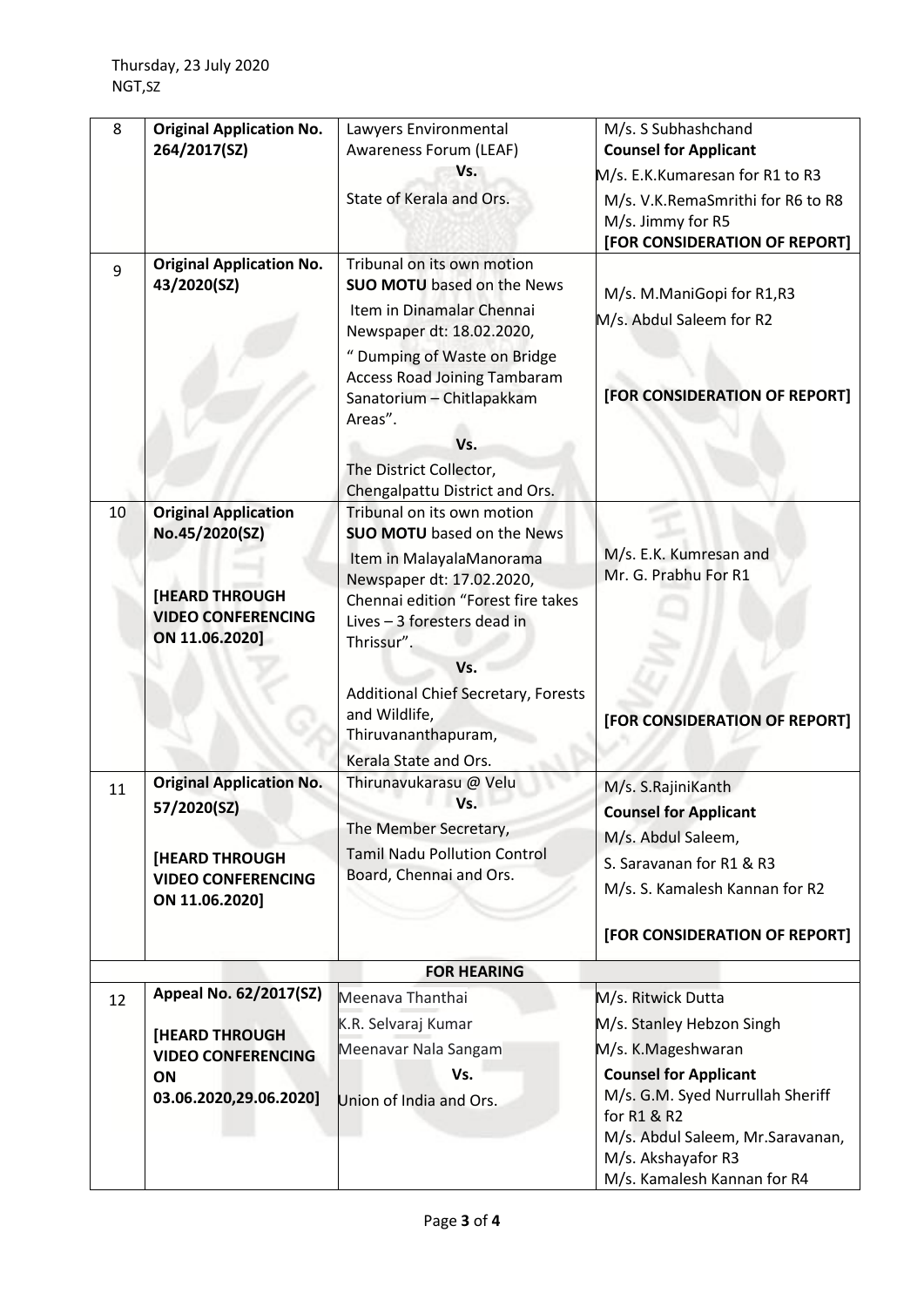| 8  | <b>Original Application No.</b><br>264/2017(SZ)                      | Lawyers Environmental<br>Awareness Forum (LEAF)                                                                                                                                                                                                                                                              | M/s. S Subhashchand<br><b>Counsel for Applicant</b>                                                                                       |
|----|----------------------------------------------------------------------|--------------------------------------------------------------------------------------------------------------------------------------------------------------------------------------------------------------------------------------------------------------------------------------------------------------|-------------------------------------------------------------------------------------------------------------------------------------------|
|    |                                                                      | Vs.                                                                                                                                                                                                                                                                                                          | M/s. E.K.Kumaresan for R1 to R3                                                                                                           |
|    |                                                                      | State of Kerala and Ors.                                                                                                                                                                                                                                                                                     | M/s. V.K.RemaSmrithi for R6 to R8<br>M/s. Jimmy for R5<br>[FOR CONSIDERATION OF REPORT]                                                   |
| 9  | <b>Original Application No.</b><br>43/2020(SZ)                       | Tribunal on its own motion<br><b>SUO MOTU</b> based on the News<br>Item in Dinamalar Chennai<br>Newspaper dt: 18.02.2020,<br>" Dumping of Waste on Bridge<br><b>Access Road Joining Tambaram</b><br>Sanatorium - Chitlapakkam<br>Areas".<br>Vs.<br>The District Collector,<br>Chengalpattu District and Ors. | M/s. M.ManiGopi for R1,R3<br>M/s. Abdul Saleem for R2<br>[FOR CONSIDERATION OF REPORT]                                                    |
| 10 | <b>Original Application</b><br>No.45/2020(SZ)                        | Tribunal on its own motion<br><b>SUO MOTU</b> based on the News<br>Item in MalayalaManorama                                                                                                                                                                                                                  | M/s. E.K. Kumresan and<br>Mr. G. Prabhu For R1                                                                                            |
|    | <b>[HEARD THROUGH</b><br><b>VIDEO CONFERENCING</b><br>ON 11.06.2020] | Newspaper dt: 17.02.2020,<br>Chennai edition "Forest fire takes<br>Lives - 3 foresters dead in<br>Thrissur".                                                                                                                                                                                                 |                                                                                                                                           |
|    |                                                                      | Vs.<br><b>Additional Chief Secretary, Forests</b><br>and Wildlife,<br>Thiruvananthapuram,<br>Kerala State and Ors.                                                                                                                                                                                           | [FOR CONSIDERATION OF REPORT]                                                                                                             |
| 11 | <b>Original Application No.</b>                                      | Thirunavukarasu @ Velu                                                                                                                                                                                                                                                                                       | M/s. S.RajiniKanth                                                                                                                        |
|    | 57/2020(SZ)                                                          | Vs.                                                                                                                                                                                                                                                                                                          | <b>Counsel for Applicant</b>                                                                                                              |
|    |                                                                      | The Member Secretary,                                                                                                                                                                                                                                                                                        | M/s. Abdul Saleem,                                                                                                                        |
|    | <b>[HEARD THROUGH</b>                                                | <b>Tamil Nadu Pollution Control</b>                                                                                                                                                                                                                                                                          | S. Saravanan for R1 & R3                                                                                                                  |
|    | <b>VIDEO CONFERENCING</b>                                            | Board, Chennai and Ors.                                                                                                                                                                                                                                                                                      | M/s. S. Kamalesh Kannan for R2                                                                                                            |
|    | ON 11.06.2020]                                                       |                                                                                                                                                                                                                                                                                                              |                                                                                                                                           |
|    |                                                                      |                                                                                                                                                                                                                                                                                                              | [FOR CONSIDERATION OF REPORT]                                                                                                             |
|    |                                                                      | <b>FOR HEARING</b>                                                                                                                                                                                                                                                                                           |                                                                                                                                           |
| 12 | Appeal No. 62/2017(SZ)                                               | Meenava Thanthai                                                                                                                                                                                                                                                                                             | M/s. Ritwick Dutta                                                                                                                        |
|    | [HEARD THROUGH                                                       | K.R. Selvaraj Kumar                                                                                                                                                                                                                                                                                          | M/s. Stanley Hebzon Singh                                                                                                                 |
|    | <b>VIDEO CONFERENCING</b>                                            | Meenavar Nala Sangam                                                                                                                                                                                                                                                                                         | M/s. K.Mageshwaran                                                                                                                        |
|    | ON                                                                   | Vs.                                                                                                                                                                                                                                                                                                          | <b>Counsel for Applicant</b>                                                                                                              |
|    | 03.06.2020,29.06.2020]                                               | Union of India and Ors.                                                                                                                                                                                                                                                                                      | M/s. G.M. Syed Nurrullah Sheriff<br>for R1 & R2<br>M/s. Abdul Saleem, Mr. Saravanan,<br>M/s. Akshayafor R3<br>M/s. Kamalesh Kannan for R4 |